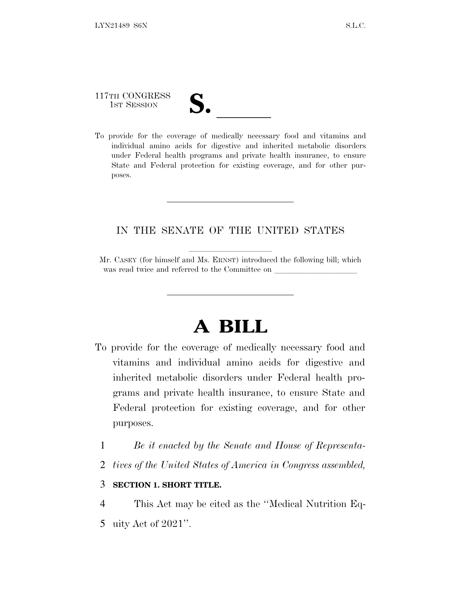# 117TH CONGRESS

117TH CONGRESS<br>
1ST SESSION<br>
To provide for the coverage of medically necessary food and vitamins and individual amino acids for digestive and inherited metabolic disorders under Federal health programs and private health insurance, to ensure State and Federal protection for existing coverage, and for other purposes.

### IN THE SENATE OF THE UNITED STATES

Mr. CASEY (for himself and Ms. ERNST) introduced the following bill; which was read twice and referred to the Committee on

## **A BILL**

- To provide for the coverage of medically necessary food and vitamins and individual amino acids for digestive and inherited metabolic disorders under Federal health programs and private health insurance, to ensure State and Federal protection for existing coverage, and for other purposes.
	- 1 *Be it enacted by the Senate and House of Representa-*
	- 2 *tives of the United States of America in Congress assembled,*

#### 3 **SECTION 1. SHORT TITLE.**

4 This Act may be cited as the ''Medical Nutrition Eq-5 uity Act of 2021''.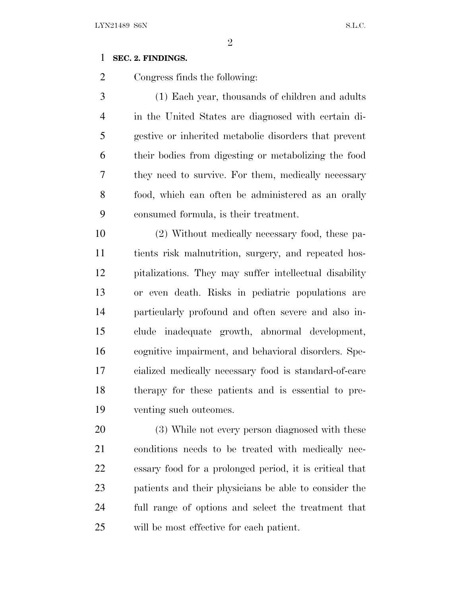### **SEC. 2. FINDINGS.**

Congress finds the following:

 (1) Each year, thousands of children and adults in the United States are diagnosed with certain di- gestive or inherited metabolic disorders that prevent their bodies from digesting or metabolizing the food they need to survive. For them, medically necessary food, which can often be administered as an orally consumed formula, is their treatment.

 (2) Without medically necessary food, these pa- tients risk malnutrition, surgery, and repeated hos- pitalizations. They may suffer intellectual disability or even death. Risks in pediatric populations are particularly profound and often severe and also in- clude inadequate growth, abnormal development, cognitive impairment, and behavioral disorders. Spe- cialized medically necessary food is standard-of-care therapy for these patients and is essential to pre-venting such outcomes.

 (3) While not every person diagnosed with these conditions needs to be treated with medically nec- essary food for a prolonged period, it is critical that patients and their physicians be able to consider the full range of options and select the treatment that will be most effective for each patient.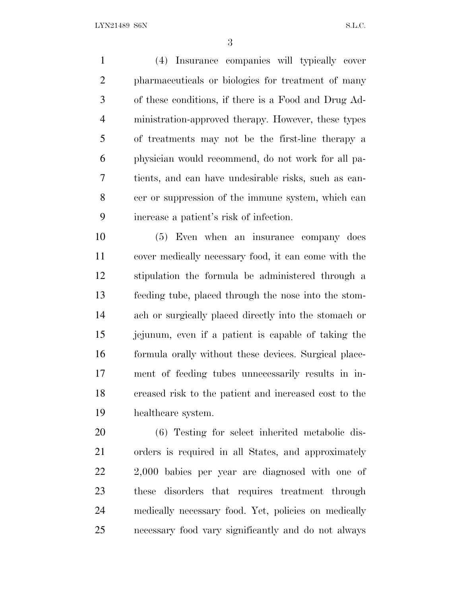(4) Insurance companies will typically cover pharmaceuticals or biologics for treatment of many of these conditions, if there is a Food and Drug Ad- ministration-approved therapy. However, these types of treatments may not be the first-line therapy a physician would recommend, do not work for all pa- tients, and can have undesirable risks, such as can- cer or suppression of the immune system, which can increase a patient's risk of infection.

 (5) Even when an insurance company does cover medically necessary food, it can come with the stipulation the formula be administered through a feeding tube, placed through the nose into the stom- ach or surgically placed directly into the stomach or jejunum, even if a patient is capable of taking the formula orally without these devices. Surgical place- ment of feeding tubes unnecessarily results in in- creased risk to the patient and increased cost to the healthcare system.

 (6) Testing for select inherited metabolic dis- orders is required in all States, and approximately 2,000 babies per year are diagnosed with one of these disorders that requires treatment through medically necessary food. Yet, policies on medically necessary food vary significantly and do not always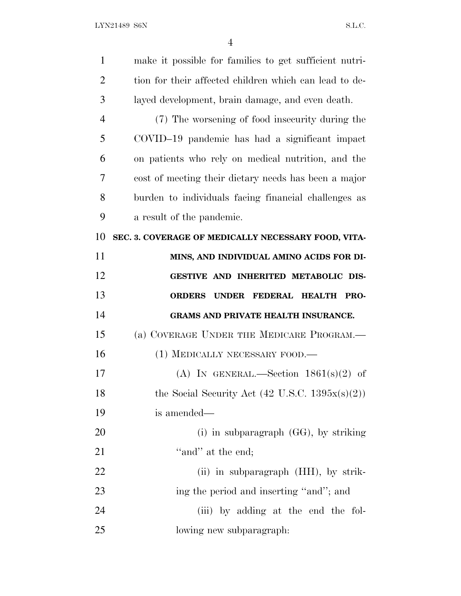| $\mathbf{1}$   | make it possible for families to get sufficient nutri-     |
|----------------|------------------------------------------------------------|
| $\overline{2}$ | tion for their affected children which can lead to de-     |
| 3              | layed development, brain damage, and even death.           |
| 4              | (7) The worsening of food insecurity during the            |
| 5              | COVID-19 pandemic has had a significant impact             |
| 6              | on patients who rely on medical nutrition, and the         |
| 7              | cost of meeting their dietary needs has been a major       |
| 8              | burden to individuals facing financial challenges as       |
| 9              | a result of the pandemic.                                  |
| 10             | SEC. 3. COVERAGE OF MEDICALLY NECESSARY FOOD, VITA-        |
| 11             | MINS, AND INDIVIDUAL AMINO ACIDS FOR DI-                   |
| 12             | GESTIVE AND INHERITED METABOLIC DIS-                       |
| 13             | FEDERAL HEALTH PRO-<br><b>ORDERS</b><br><b>UNDER</b>       |
| 14             | GRAMS AND PRIVATE HEALTH INSURANCE.                        |
| 15             | (a) COVERAGE UNDER THE MEDICARE PROGRAM.—                  |
|                |                                                            |
| 16             | (1) MEDICALLY NECESSARY FOOD.—                             |
| 17             | (A) IN GENERAL.—Section $1861(s)(2)$ of                    |
| 18             | the Social Security Act $(42 \text{ U.S.C. } 1395x(s)(2))$ |
| 19             | is amended—                                                |
| 20             | (i) in subparagraph $(GG)$ , by striking                   |
| 21             | "and" at the end;                                          |
| 22             | (ii) in subparagraph (HH), by strik-                       |
| 23             | ing the period and inserting "and"; and                    |
| 24             | (iii) by adding at the end the fol-                        |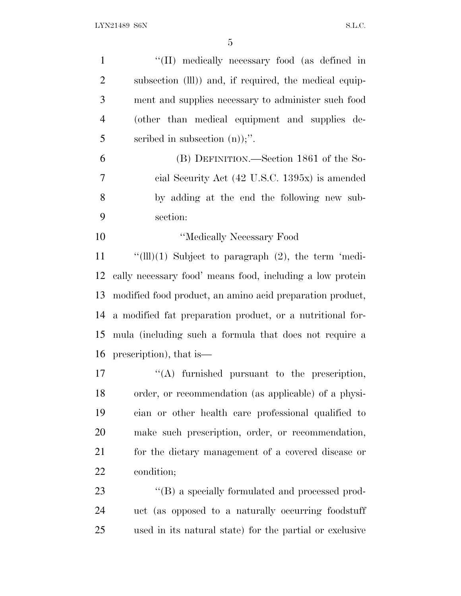| $\mathbf{1}$   | "(II) medically necessary food (as defined in             |
|----------------|-----------------------------------------------------------|
| $\overline{2}$ | subsection (III)) and, if required, the medical equip-    |
| 3              | ment and supplies necessary to administer such food       |
| $\overline{4}$ | (other than medical equipment and supplies de-            |
| 5              | scribed in subsection $(n)$ ;".                           |
| 6              | (B) DEFINITION.—Section 1861 of the So-                   |
| 7              | cial Security Act (42 U.S.C. 1395x) is amended            |
| 8              | by adding at the end the following new sub-               |
| 9              | section:                                                  |
| 10             | "Medically Necessary Food                                 |
| 11             | " $(III)(1)$ Subject to paragraph $(2)$ , the term 'medi- |
| 12             | cally necessary food' means food, including a low protein |
| 13             | modified food product, an amino acid preparation product, |
| 14             | a modified fat preparation product, or a nutritional for- |
| 15             | mula (including such a formula that does not require a    |
|                | 16 prescription), that is                                 |
| 17             | $\lq\lq$ furnished pursuant to the prescription,          |
| 18             | order, or recommendation (as applicable) of a physi-      |
| 19             | cian or other health care professional qualified to       |
| 20             | make such prescription, order, or recommendation,         |
| 21             | for the dietary management of a covered disease or        |
| 22             | condition;                                                |
| 23             | "(B) a specially formulated and processed prod-           |
| 24             | uct (as opposed to a naturally occurring foodstuff        |

used in its natural state) for the partial or exclusive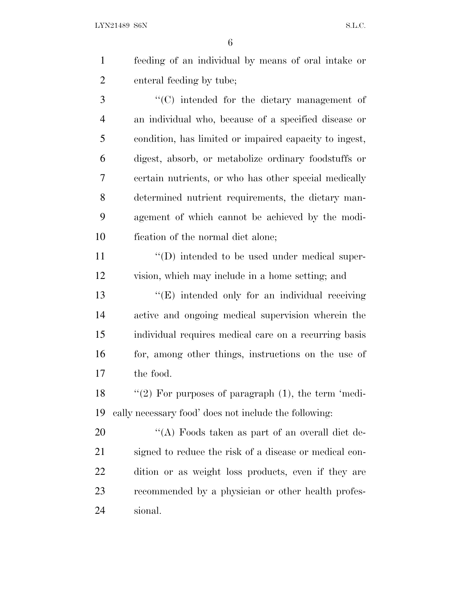LYN21489 S6N S.L.C.

 feeding of an individual by means of oral intake or enteral feeding by tube;

 ''(C) intended for the dietary management of an individual who, because of a specified disease or condition, has limited or impaired capacity to ingest, digest, absorb, or metabolize ordinary foodstuffs or certain nutrients, or who has other special medically determined nutrient requirements, the dietary man- agement of which cannot be achieved by the modi-fication of the normal diet alone;

11  $\langle \text{`}(D) \rangle$  intended to be used under medical super-vision, which may include in a home setting; and

13 "(E) intended only for an individual receiving active and ongoing medical supervision wherein the individual requires medical care on a recurring basis 16 for, among other things, instructions on the use of the food.

18 "(2) For purposes of paragraph (1), the term 'medi-cally necessary food' does not include the following:

 $\langle A \rangle$  Foods taken as part of an overall diet de- signed to reduce the risk of a disease or medical con- dition or as weight loss products, even if they are recommended by a physician or other health profes-sional.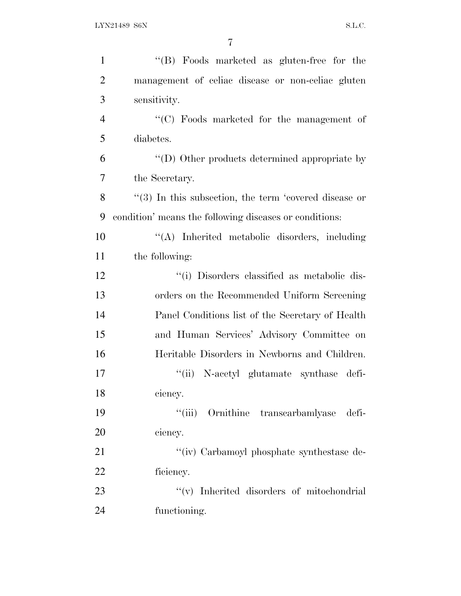| $\mathbf{1}$   | "(B) Foods marketed as gluten-free for the                |
|----------------|-----------------------------------------------------------|
| $\overline{2}$ | management of celiac disease or non-celiac gluten         |
| 3              | sensitivity.                                              |
| $\overline{4}$ | $\cdot$ (C) Foods marketed for the management of          |
| 5              | diabetes.                                                 |
| 6              | $\lq\lq$ (D) Other products determined appropriate by     |
| 7              | the Secretary.                                            |
| 8              | $\lq(3)$ In this subsection, the term 'covered disease or |
| 9              | condition' means the following diseases or conditions:    |
| 10             | "(A) Inherited metabolic disorders, including             |
| 11             | the following:                                            |
| 12             | "(i) Disorders classified as metabolic dis-               |
| 13             | orders on the Recommended Uniform Screening               |
| 14             | Panel Conditions list of the Secretary of Health          |
| 15             | and Human Services' Advisory Committee on                 |
| 16             | Heritable Disorders in Newborns and Children.             |
| 17             | "(ii) N-acetyl glutamate synthase defi-                   |
| 18             | ciency.                                                   |
| 19             | "(iii) Ornithine transcarbamlyase defi-                   |
| 20             | ciency.                                                   |
| 21             | "(iv) Carbamoyl phosphate synthestase de-                 |
| 22             | ficiency.                                                 |
| 23             | "(v) Inherited disorders of mitochondrial                 |
| 24             | functioning.                                              |
|                |                                                           |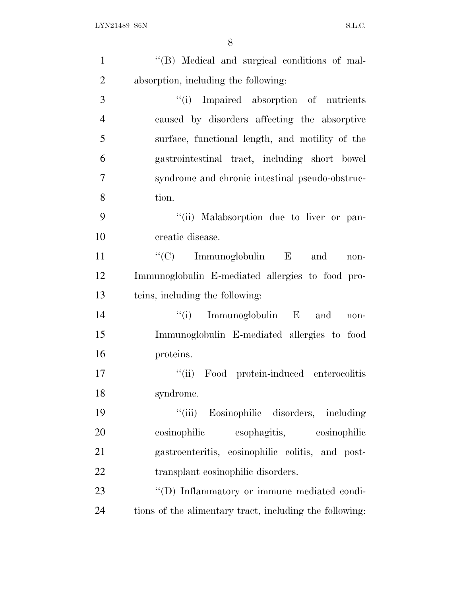| $\mathbf{1}$   | "(B) Medical and surgical conditions of mal-            |
|----------------|---------------------------------------------------------|
| $\overline{2}$ | absorption, including the following:                    |
| 3              | "(i) Impaired absorption of nutrients                   |
| $\overline{4}$ | caused by disorders affecting the absorptive            |
| 5              | surface, functional length, and motility of the         |
| 6              | gastrointestinal tract, including short bowel           |
| $\tau$         | syndrome and chronic intestinal pseudo-obstruc-         |
| 8              | tion.                                                   |
| 9              | "(ii) Malabsorption due to liver or pan-                |
| 10             | creatic disease.                                        |
| 11             | "(C) Immunoglobulin $E$ and<br>non-                     |
| 12             | Immunoglobulin E-mediated allergies to food pro-        |
| 13             | teins, including the following:                         |
| 14             | $f(i)$ Immunoglobulin E and<br>non-                     |
| 15             | Immunoglobulin E-mediated allergies to food             |
| 16             | proteins.                                               |
| 17             | Food protein-induced enterocolitis<br>``(ii)            |
| 18             | syndrome.                                               |
| 19             | "(iii) Eosinophilic disorders, including                |
| 20             | esophagitis, eosinophilic<br>eosinophilic               |
| 21             | gastroenteritis, eosinophilic colitis, and post-        |
| 22             | transplant eosinophilic disorders.                      |
| 23             | "(D) Inflammatory or immune mediated condi-             |
| 24             | tions of the alimentary tract, including the following: |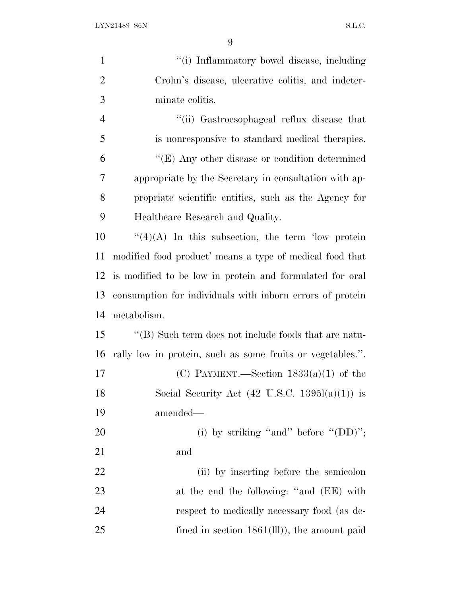| $\mathbf{1}$   | "(i) Inflammatory bowel disease, including                 |
|----------------|------------------------------------------------------------|
| $\overline{2}$ | Crohn's disease, ulcerative colitis, and indeter-          |
| 3              | minate colitis.                                            |
| $\overline{4}$ | "(ii) Gastroesophageal reflux disease that                 |
| 5              | is nonresponsive to standard medical therapies.            |
| 6              | $\lq\lq(E)$ Any other disease or condition determined      |
| 7              | appropriate by the Secretary in consultation with ap-      |
| 8              | propriate scientific entities, such as the Agency for      |
| 9              | Healthcare Research and Quality.                           |
| 10             | $\lq(4)(A)$ In this subsection, the term 'low protein'     |
| 11             | modified food product' means a type of medical food that   |
| 12             | is modified to be low in protein and formulated for oral   |
| 13             | consumption for individuals with inform errors of protein  |
| 14             | metabolism.                                                |
| 15             | "(B) Such term does not include foods that are natu-       |
| 16             | rally low in protein, such as some fruits or vegetables.". |
| 17             | (C) PAYMENT.—Section $1833(a)(1)$ of the                   |
| 18             | Social Security Act $(42 \text{ U.S.C. } 1395l(a)(1))$ is  |
| 19             | amended—                                                   |
| 20             | (i) by striking "and" before " $(DD)$ ";                   |
| 21             | and                                                        |
| <u>22</u>      | (ii) by inserting before the semicolon                     |
| 23             | at the end the following: "and (EE) with                   |
| 24             | respect to medically necessary food (as de-                |
| 25             | fined in section $1861(III)$ , the amount paid             |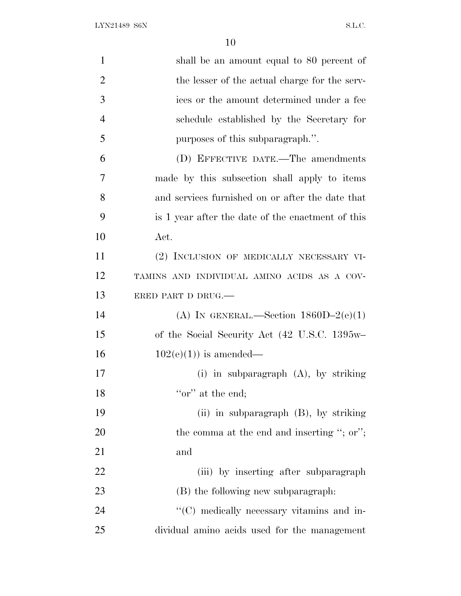LYN21489 S6N S.L.C.

| $\mathbf{1}$   | shall be an amount equal to 80 percent of         |
|----------------|---------------------------------------------------|
| $\overline{2}$ | the lesser of the actual charge for the serv-     |
| 3              | ices or the amount determined under a fee         |
| $\overline{4}$ | schedule established by the Secretary for         |
| 5              | purposes of this subparagraph.".                  |
| 6              | (D) EFFECTIVE DATE.—The amendments                |
| 7              | made by this subsection shall apply to items      |
| 8              | and services furnished on or after the date that  |
| 9              | is 1 year after the date of the enactment of this |
| 10             | Act.                                              |
| 11             | (2) INCLUSION OF MEDICALLY NECESSARY VI-          |
| 12             | TAMINS AND INDIVIDUAL AMINO ACIDS AS A COV-       |
| 13             | ERED PART D DRUG.                                 |
| 14             | (A) IN GENERAL.—Section $1860D-2(e)(1)$           |
| 15             | of the Social Security Act (42 U.S.C. 1395w-      |
| 16             | $102(e)(1)$ is amended—                           |
| 17             | (i) in subparagraph $(A)$ , by striking           |
| 18             | "or" at the end;                                  |
| 19             | (ii) in subparagraph $(B)$ , by striking          |
| 20             | the comma at the end and inserting "; or";        |
| 21             | and                                               |
| 22             | (iii) by inserting after subparagraph             |
| 23             | (B) the following new subparagraph.               |
| 24             | "(C) medically necessary vitamins and in-         |
| 25             | dividual amino acids used for the management      |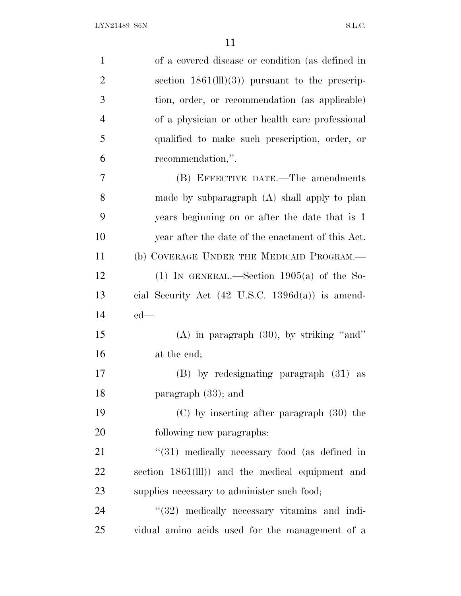| $\mathbf{1}$   | of a covered disease or condition (as defined in            |
|----------------|-------------------------------------------------------------|
| $\overline{2}$ | section $1861(III)(3)$ pursuant to the prescrip-            |
| 3              | tion, order, or recommendation (as applicable)              |
| $\overline{4}$ | of a physician or other health care professional            |
| 5              | qualified to make such prescription, order, or              |
| 6              | recommendation,".                                           |
| $\overline{7}$ | (B) EFFECTIVE DATE.—The amendments                          |
| 8              | made by subparagraph (A) shall apply to plan                |
| 9              | years beginning on or after the date that is 1              |
| 10             | year after the date of the enactment of this Act.           |
| 11             | (b) COVERAGE UNDER THE MEDICAID PROGRAM.—                   |
| 12             | (1) IN GENERAL.—Section $1905(a)$ of the So-                |
| 13             | cial Security Act $(42 \text{ U.S.C. } 1396d(a))$ is amend- |
| 14             | $ed$ —                                                      |
| 15             | $(A)$ in paragraph $(30)$ , by striking "and"               |
| 16             | at the end;                                                 |
| 17             | $(B)$ by redesignating paragraph $(31)$ as                  |
| 18             | paragraph (33); and                                         |
| 19             | $(C)$ by inserting after paragraph $(30)$ the               |
| 20             | following new paragraphs:                                   |
| 21             | $\lq(31)$ medically necessary food (as defined in           |
| 22             | section 1861(III)) and the medical equipment and            |
| 23             | supplies necessary to administer such food;                 |
| 24             | $"$ (32) medically necessary vitamins and indi-             |
| 25             | vidual amino acids used for the management of a             |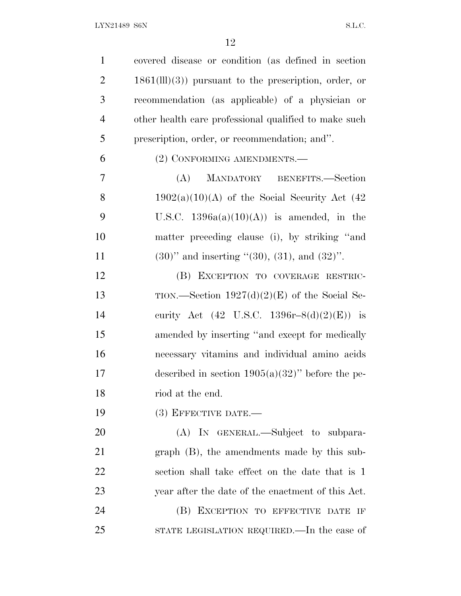| $\mathbf{1}$   | covered disease or condition (as defined in section)     |
|----------------|----------------------------------------------------------|
| $\overline{2}$ | $1861(III)(3)$ pursuant to the prescription, order, or   |
| 3              | recommendation (as applicable) of a physician or         |
| $\overline{4}$ | other health care professional qualified to make such    |
| 5              | prescription, order, or recommendation; and".            |
| 6              | (2) CONFORMING AMENDMENTS.—                              |
| 7              | (A)<br>MANDATORY BENEFITS.-Section                       |
| 8              | $1902(a)(10)(A)$ of the Social Security Act (42)         |
| 9              | U.S.C. $1396a(a)(10)(A)$ is amended, in the              |
| 10             | matter preceding clause (i), by striking "and            |
| 11             | $(30)$ " and inserting " $(30)$ , $(31)$ , and $(32)$ ". |
| 12             | (B) EXCEPTION TO COVERAGE RESTRIC-                       |
| 13             | TION.—Section $1927(d)(2)(E)$ of the Social Se-          |
| 14             | curity Act (42 U.S.C. 1396r-8(d)(2)(E)) is               |
| 15             | amended by inserting "and except for medically           |
| 16             | necessary vitamins and individual amino acids            |
| 17             | described in section $1905(a)(32)$ " before the pe-      |
| 18             | riod at the end.                                         |
| 19             | $(3)$ EFFECTIVE DATE.—                                   |
| 20             | (A) IN GENERAL.—Subject to subpara-                      |
| 21             | $graph$ (B), the amendments made by this sub-            |
| 22             | section shall take effect on the date that is 1          |
| 23             | year after the date of the enactment of this Act.        |
| 24             | (B) EXCEPTION TO EFFECTIVE DATE IF                       |
| 25             | STATE LEGISLATION REQUIRED.—In the case of               |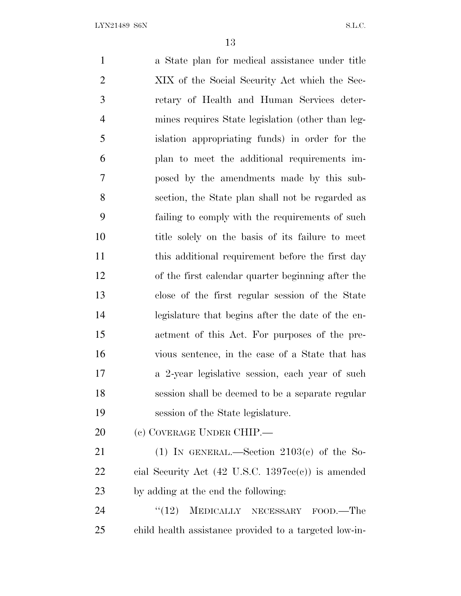a State plan for medical assistance under title XIX of the Social Security Act which the Sec- retary of Health and Human Services deter- mines requires State legislation (other than leg- islation appropriating funds) in order for the plan to meet the additional requirements im- posed by the amendments made by this sub- section, the State plan shall not be regarded as failing to comply with the requirements of such title solely on the basis of its failure to meet this additional requirement before the first day of the first calendar quarter beginning after the close of the first regular session of the State legislature that begins after the date of the en- actment of this Act. For purposes of the pre- vious sentence, in the case of a State that has a 2-year legislative session, each year of such session shall be deemed to be a separate regular session of the State legislature. (c) COVERAGE UNDER CHIP.— 21 (1) IN GENERAL.—Section  $2103(c)$  of the So- cial Security Act (42 U.S.C. 1397cc(c)) is amended by adding at the end the following: 24 "(12) MEDICALLY NECESSARY FOOD.—The child health assistance provided to a targeted low-in-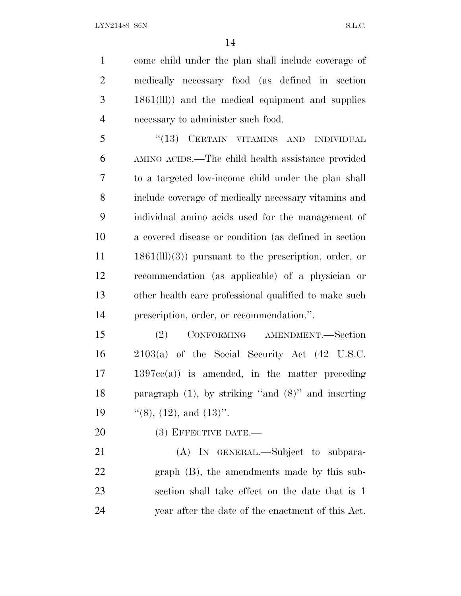come child under the plan shall include coverage of medically necessary food (as defined in section 1861(lll)) and the medical equipment and supplies necessary to administer such food.

5 "(13) CERTAIN VITAMINS AND INDIVIDUAL AMINO ACIDS.—The child health assistance provided to a targeted low-income child under the plan shall include coverage of medically necessary vitamins and individual amino acids used for the management of a covered disease or condition (as defined in section 1861(lll)(3)) pursuant to the prescription, order, or recommendation (as applicable) of a physician or other health care professional qualified to make such prescription, order, or recommendation.''.

 (2) CONFORMING AMENDMENT.—Section 2103(a) of the Social Security Act (42 U.S.C. 1397cc(a)) is amended, in the matter preceding paragraph (1), by striking ''and (8)'' and inserting  $\frac{1}{(8)}$ , (12), and (13)''.

20 (3) EFFECTIVE DATE.—

21 (A) In GENERAL.—Subject to subpara- graph (B), the amendments made by this sub- section shall take effect on the date that is 1 year after the date of the enactment of this Act.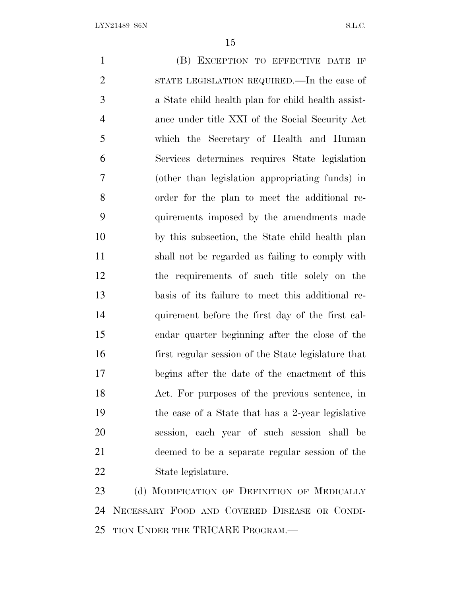(B) EXCEPTION TO EFFECTIVE DATE IF STATE LEGISLATION REQUIRED.—In the case of a State child health plan for child health assist- ance under title XXI of the Social Security Act which the Secretary of Health and Human Services determines requires State legislation (other than legislation appropriating funds) in order for the plan to meet the additional re- quirements imposed by the amendments made by this subsection, the State child health plan shall not be regarded as failing to comply with the requirements of such title solely on the basis of its failure to meet this additional re- quirement before the first day of the first cal- endar quarter beginning after the close of the first regular session of the State legislature that begins after the date of the enactment of this Act. For purposes of the previous sentence, in the case of a State that has a 2-year legislative session, each year of such session shall be deemed to be a separate regular session of the State legislature. 23 (d) MODIFICATION OF DEFINITION OF MEDICALLY

 NECESSARY FOOD AND COVERED DISEASE OR CONDI-TION UNDER THE TRICARE PROGRAM.—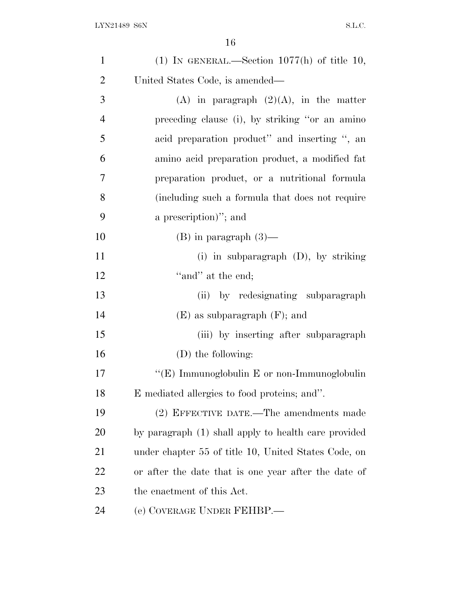| $\mathbf{1}$   | (1) IN GENERAL.—Section $1077(h)$ of title 10,       |
|----------------|------------------------------------------------------|
| $\overline{2}$ | United States Code, is amended—                      |
| 3              | (A) in paragraph $(2)(A)$ , in the matter            |
| $\overline{4}$ | preceding clause (i), by striking "or an amino       |
| 5              | acid preparation product" and inserting ", an        |
| 6              | amino acid preparation product, a modified fat       |
| 7              | preparation product, or a nutritional formula        |
| 8              | (including such a formula that does not require      |
| 9              | a prescription)"; and                                |
| 10             | $(B)$ in paragraph $(3)$ —                           |
| 11             | (i) in subparagraph $(D)$ , by striking              |
| 12             | "and" at the end;                                    |
| 13             | (ii) by redesignating subparagraph                   |
| 14             | $(E)$ as subparagraph $(F)$ ; and                    |
| 15             | (iii) by inserting after subparagraph                |
| 16             | (D) the following:                                   |
| 17             | "(E) Immunoglobulin E or non-Immunoglobulin          |
| 18             | E mediated allergies to food proteins; and".         |
| 19             | (2) EFFECTIVE DATE.—The amendments made              |
| 20             | by paragraph (1) shall apply to health care provided |
| 21             | under chapter 55 of title 10, United States Code, on |
| 22             | or after the date that is one year after the date of |
| 23             | the enactment of this Act.                           |
| 24             | (e) COVERAGE UNDER FEHBP.—                           |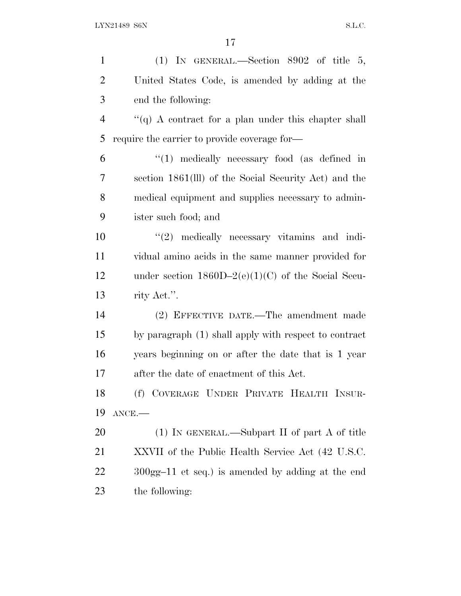| $\mathbf{1}$   | (1) IN GENERAL.—Section $8902$ of title 5,                |
|----------------|-----------------------------------------------------------|
| $\overline{2}$ | United States Code, is amended by adding at the           |
| 3              | end the following:                                        |
| $\overline{4}$ | $\lq( q )$ A contract for a plan under this chapter shall |
| 5              | require the carrier to provide coverage for-              |
| 6              | $\lq(1)$ medically necessary food (as defined in          |
| 7              | section 1861(III) of the Social Security Act) and the     |
| 8              | medical equipment and supplies necessary to admin-        |
| 9              | ister such food; and                                      |
| 10             | $\lq(2)$ medically necessary vitamins and indi-           |
| 11             | vidual amino acids in the same manner provided for        |
| 12             | under section $1860D-2(e)(1)(C)$ of the Social Secu-      |
| 13             | rity Act.".                                               |
| 14             | (2) EFFECTIVE DATE.—The amendment made                    |
| 15             | by paragraph (1) shall apply with respect to contract     |
| 16             | years beginning on or after the date that is 1 year       |
| 17             | after the date of enactment of this Act.                  |
| 18             | (f) COVERAGE UNDER PRIVATE HEALTH INSUR-                  |
| 19             | $ANCE$ .                                                  |
| 20             | $(1)$ In GENERAL.—Subpart II of part A of title           |
| 21             | XXVII of the Public Health Service Act (42 U.S.C.         |
| 22             | $300gg-11$ et seq.) is amended by adding at the end       |
| 23             | the following:                                            |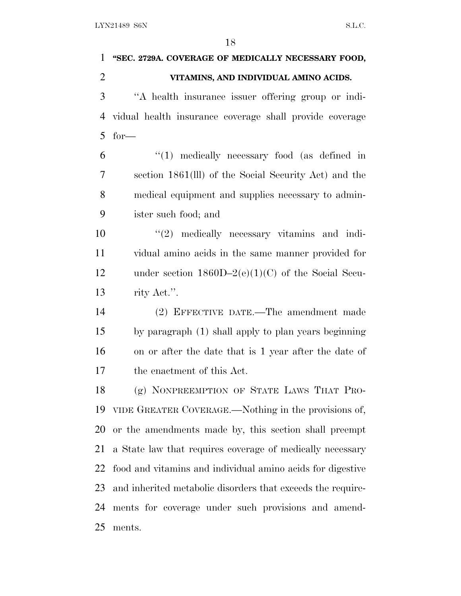**''SEC. 2729A. COVERAGE OF MEDICALLY NECESSARY FOOD, VITAMINS, AND INDIVIDUAL AMINO ACIDS.** ''A health insurance issuer offering group or indi- vidual health insurance coverage shall provide coverage for— ''(1) medically necessary food (as defined in section 1861(lll) of the Social Security Act) and the medical equipment and supplies necessary to admin- ister such food; and  $\frac{u(2)}{2}$  medically necessary vitamins and indi- vidual amino acids in the same manner provided for under section 1860D–2(e)(1)(C) of the Social Secu- rity Act.''. (2) EFFECTIVE DATE.—The amendment made by paragraph (1) shall apply to plan years beginning on or after the date that is 1 year after the date of the enactment of this Act. (g) NONPREEMPTION OF STATE LAWS THAT PRO- VIDE GREATER COVERAGE.—Nothing in the provisions of, or the amendments made by, this section shall preempt a State law that requires coverage of medically necessary food and vitamins and individual amino acids for digestive and inherited metabolic disorders that exceeds the require- ments for coverage under such provisions and amend-ments.